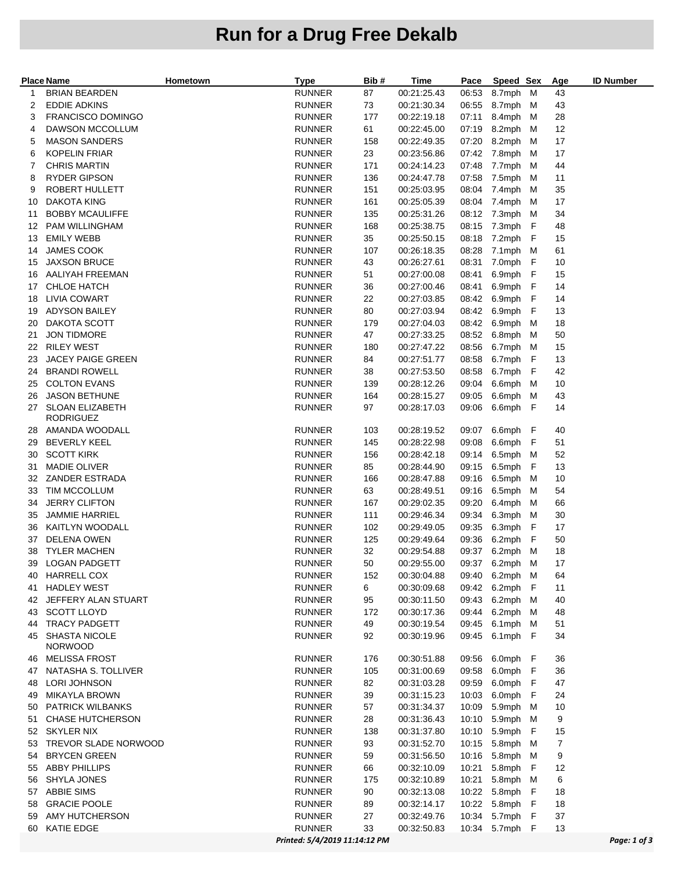## **Run for a Drug Free Dekalb**

|          | <b>Place Name</b>                         | Hometown | <b>Type</b>                    | Bib#      | Time                       | Pace           | Speed Sex            |     | Age      | <b>ID Number</b> |
|----------|-------------------------------------------|----------|--------------------------------|-----------|----------------------------|----------------|----------------------|-----|----------|------------------|
| 1        | <b>BRIAN BEARDEN</b>                      |          | <b>RUNNER</b>                  | 87        | 00:21:25.43                |                | 06:53 8.7mph M       |     | 43       |                  |
| 2        | <b>EDDIE ADKINS</b>                       |          | <b>RUNNER</b>                  | 73        | 00:21:30.34                | 06:55          | 8.7mph M             |     | 43       |                  |
| З        | <b>FRANCISCO DOMINGO</b>                  |          | <b>RUNNER</b>                  | 177       | 00:22:19.18                | 07:11          | 8.4mph M             |     | 28       |                  |
| 4        | DAWSON MCCOLLUM                           |          | <b>RUNNER</b>                  | 61        | 00:22:45.00                | 07:19          | 8.2mph M             |     | 12       |                  |
| 5        | <b>MASON SANDERS</b>                      |          | <b>RUNNER</b>                  | 158       | 00:22:49.35                | 07:20          | 8.2mph M             |     | 17       |                  |
| 6        | <b>KOPELIN FRIAR</b>                      |          | <b>RUNNER</b>                  | 23        | 00:23:56.86                |                | 07:42 7.8mph M       |     | 17       |                  |
| 7        | <b>CHRIS MARTIN</b>                       |          | <b>RUNNER</b>                  | 171       | 00:24:14.23                | 07:48          | 7.7mph M             |     | 44       |                  |
| 8        | RYDER GIPSON                              |          | <b>RUNNER</b>                  | 136       | 00:24:47.78                | 07:58          | 7.5mph M             |     | 11       |                  |
| 9        | ROBERT HULLETT                            |          | <b>RUNNER</b>                  | 151       | 00:25:03.95                | 08:04          | 7.4mph M             |     | 35       |                  |
| 10       | <b>DAKOTA KING</b>                        |          | RUNNER                         | 161       | 00:25:05.39                |                | 08:04 7.4mph M       |     | 17       |                  |
| 11       | <b>BOBBY MCAULIFFE</b>                    |          | <b>RUNNER</b>                  | 135       | 00:25:31.26                |                | 08:12 7.3mph M       |     | 34       |                  |
| 12       | <b>PAM WILLINGHAM</b>                     |          | <b>RUNNER</b>                  | 168       | 00:25:38.75                |                | 08:15 7.3mph F       |     | 48       |                  |
| 13       | <b>EMILY WEBB</b>                         |          | <b>RUNNER</b>                  | 35        | 00:25:50.15                |                | 08:18 7.2mph         | - F | 15       |                  |
| 14       | <b>JAMES COOK</b>                         |          | <b>RUNNER</b>                  | 107       | 00:26:18.35                |                | 08:28 7.1mph M       |     | 61       |                  |
| 15       | <b>JAXSON BRUCE</b>                       |          | <b>RUNNER</b>                  | 43        | 00:26:27.61                | 08:31          | 7.0mph               | - F | 10       |                  |
| 16       | AALIYAH FREEMAN                           |          | <b>RUNNER</b>                  | 51        | 00:27:00.08                | 08:41          | 6.9mph F             |     | 15       |                  |
| 17       | <b>CHLOE HATCH</b><br><b>LIVIA COWART</b> |          | <b>RUNNER</b><br><b>RUNNER</b> | 36<br>22  | 00:27:00.46<br>00:27:03.85 | 08:41<br>08:42 | 6.9mph F<br>6.9mph F |     | 14<br>14 |                  |
| 18       |                                           |          |                                |           |                            |                |                      |     |          |                  |
|          | 19 ADYSON BAILEY                          |          | <b>RUNNER</b>                  | 80        | 00:27:03.94                | 08:42<br>08:42 | 6.9mph<br>6.9mph M   | - F | 13<br>18 |                  |
| 20<br>21 | DAKOTA SCOTT<br><b>JON TIDMORE</b>        |          | <b>RUNNER</b><br><b>RUNNER</b> | 179<br>47 | 00:27:04.03<br>00:27:33.25 | 08:52          | 6.8mph               | M   | 50       |                  |
|          | 22 RILEY WEST                             |          | RUNNER                         | 180       | 00:27:47.22                | 08:56          | 6.7mph M             |     | 15       |                  |
| 23       | <b>JACEY PAIGE GREEN</b>                  |          | <b>RUNNER</b>                  | 84        | 00:27:51.77                | 08:58          | 6.7mph F             |     | 13       |                  |
| 24       | <b>BRANDI ROWELL</b>                      |          | <b>RUNNER</b>                  | 38        | 00:27:53.50                | 08:58          | 6.7mph F             |     | 42       |                  |
| 25       | <b>COLTON EVANS</b>                       |          | <b>RUNNER</b>                  | 139       | 00:28:12.26                | 09:04          | 6.6mph M             |     | 10       |                  |
| 26       | <b>JASON BETHUNE</b>                      |          | <b>RUNNER</b>                  | 164       | 00:28:15.27                | 09:05          | 6.6mph M             |     | 43       |                  |
| 27       | <b>SLOAN ELIZABETH</b>                    |          | <b>RUNNER</b>                  | 97        | 00:28:17.03                | 09:06          | 6.6mph F             |     | 14       |                  |
|          | <b>RODRIGUEZ</b>                          |          |                                |           |                            |                |                      |     |          |                  |
|          | 28 AMANDA WOODALL                         |          | <b>RUNNER</b>                  | 103       | 00:28:19.52                | 09:07          | 6.6mph F             |     | 40       |                  |
| 29       | <b>BEVERLY KEEL</b>                       |          | <b>RUNNER</b>                  | 145       | 00:28:22.98                | 09:08          | 6.6mph F             |     | 51       |                  |
| 30       | <b>SCOTT KIRK</b>                         |          | <b>RUNNER</b>                  | 156       | 00:28:42.18                | 09:14          | 6.5mph M             |     | 52       |                  |
| 31       | <b>MADIE OLIVER</b>                       |          | <b>RUNNER</b>                  | 85        | 00:28:44.90                | 09:15          | 6.5mph               | - F | 13       |                  |
| 32       | <b>ZANDER ESTRADA</b>                     |          | <b>RUNNER</b>                  | 166       | 00:28:47.88                | 09:16          | 6.5mph M             |     | 10       |                  |
| 33       | TIM MCCOLLUM                              |          | <b>RUNNER</b>                  | 63        | 00:28:49.51                | 09:16          | 6.5mph M             |     | 54       |                  |
| 34       | <b>JERRY CLIFTON</b>                      |          | <b>RUNNER</b>                  | 167       | 00:29:02.35                | 09:20          | 6.4mph M             |     | 66       |                  |
| 35       | <b>JAMMIE HARRIEL</b>                     |          | <b>RUNNER</b>                  | 111       | 00:29:46.34                | 09:34          | 6.3mph M             |     | 30       |                  |
|          | 36 KAITLYN WOODALL                        |          | <b>RUNNER</b>                  | 102       | 00:29:49.05                | 09:35          | 6.3mph F             |     | 17       |                  |
| 37       | <b>DELENA OWEN</b>                        |          | <b>RUNNER</b>                  | 125       | 00:29:49.64                | 09:36          | 6.2mph               | - F | 50       |                  |
| 38       | <b>TYLER MACHEN</b>                       |          | <b>RUNNER</b>                  | 32        | 00:29:54.88                | 09:37          | 6.2mph M             |     | 18       |                  |
| 39       | <b>LOGAN PADGETT</b>                      |          | <b>RUNNER</b>                  | 50        | 00:29:55.00                | 09:37          | 6.2mph M             |     | 17       |                  |
| 40       | <b>HARRELL COX</b>                        |          | <b>RUNNER</b>                  | 152       | 00:30:04.88                |                | 09:40 6.2mph M       |     | 64       |                  |
| 41       | <b>HADLEY WEST</b>                        |          | <b>RUNNER</b>                  | 6         | 00:30:09.68                |                | 09:42 6.2mph F       |     | 11       |                  |
| 42       | JEFFERY ALAN STUART                       |          | <b>RUNNER</b>                  | 95        | 00:30:11.50                | 09:43          | 6.2mph M             |     | 40       |                  |
| 43       | <b>SCOTT LLOYD</b>                        |          | <b>RUNNER</b>                  | 172       | 00:30:17.36                | 09:44          | 6.2mph M             |     | 48       |                  |
| 44       | <b>TRACY PADGETT</b>                      |          | <b>RUNNER</b>                  | 49        | 00:30:19.54                | 09:45          | 6.1mph M             |     | 51       |                  |
| 45       | SHASTA NICOLE<br><b>NORWOOD</b>           |          | <b>RUNNER</b>                  | 92        | 00:30:19.96                | 09:45          | 6.1mph F             |     | 34       |                  |
| 46.      | <b>MELISSA FROST</b>                      |          | <b>RUNNER</b>                  | 176       | 00:30:51.88                |                | 09:56 6.0mph F       |     | 36       |                  |
| 47       | NATASHA S. TOLLIVER                       |          | <b>RUNNER</b>                  | 105       | 00:31:00.69                | 09:58          | 6.0mph F             |     | 36       |                  |
| 48       | <b>LORI JOHNSON</b>                       |          | <b>RUNNER</b>                  | 82        | 00:31:03.28                | 09:59          | 6.0mph F             |     | 47       |                  |
| 49       | <b>MIKAYLA BROWN</b>                      |          | <b>RUNNER</b>                  | 39        | 00:31:15.23                | 10:03          | 6.0mph F             |     | 24       |                  |
| 50       | <b>PATRICK WILBANKS</b>                   |          | <b>RUNNER</b>                  | 57        | 00:31:34.37                | 10:09          | 5.9mph M             |     | 10       |                  |
| 51       | <b>CHASE HUTCHERSON</b>                   |          | <b>RUNNER</b>                  | 28        | 00:31:36.43                |                | 10:10 5.9mph M       |     | 9        |                  |
|          | 52 SKYLER NIX                             |          | <b>RUNNER</b>                  | 138       | 00:31:37.80                | 10:10          | 5.9mph F             |     | 15       |                  |
| 53       | TREVOR SLADE NORWOOD                      |          | <b>RUNNER</b>                  | 93        | 00:31:52.70                | 10:15          | 5.8mph M             |     | 7        |                  |
| 54       | <b>BRYCEN GREEN</b>                       |          | <b>RUNNER</b>                  | 59        | 00:31:56.50                |                | 10:16 5.8mph M       |     | 9        |                  |
| 55       | <b>ABBY PHILLIPS</b>                      |          | <b>RUNNER</b>                  | 66        | 00:32:10.09                | 10:21          | 5.8mph F             |     | 12       |                  |
| 56       | SHYLA JONES                               |          | <b>RUNNER</b>                  | 175       | 00:32:10.89                | 10:21          | 5.8mph M             |     | 6        |                  |
| 57       | <b>ABBIE SIMS</b>                         |          | <b>RUNNER</b>                  | 90        | 00:32:13.08                |                | 10:22 5.8mph F       |     | 18       |                  |
| 58       | <b>GRACIE POOLE</b>                       |          | <b>RUNNER</b>                  | 89        | 00:32:14.17                |                | 10:22 5.8mph F       |     | 18       |                  |
| 59       | AMY HUTCHERSON                            |          | <b>RUNNER</b>                  | 27        | 00:32:49.76                | 10:34          | 5.7mph F             |     | 37       |                  |
| 60       | KATIE EDGE                                |          | <b>RUNNER</b>                  | 33        | 00:32:50.83                |                | 10:34 5.7mph F       |     | 13       |                  |
|          |                                           |          | Printed: 5/4/2019 11:14:12 PM  |           |                            |                |                      |     |          | Page: 1 of 3     |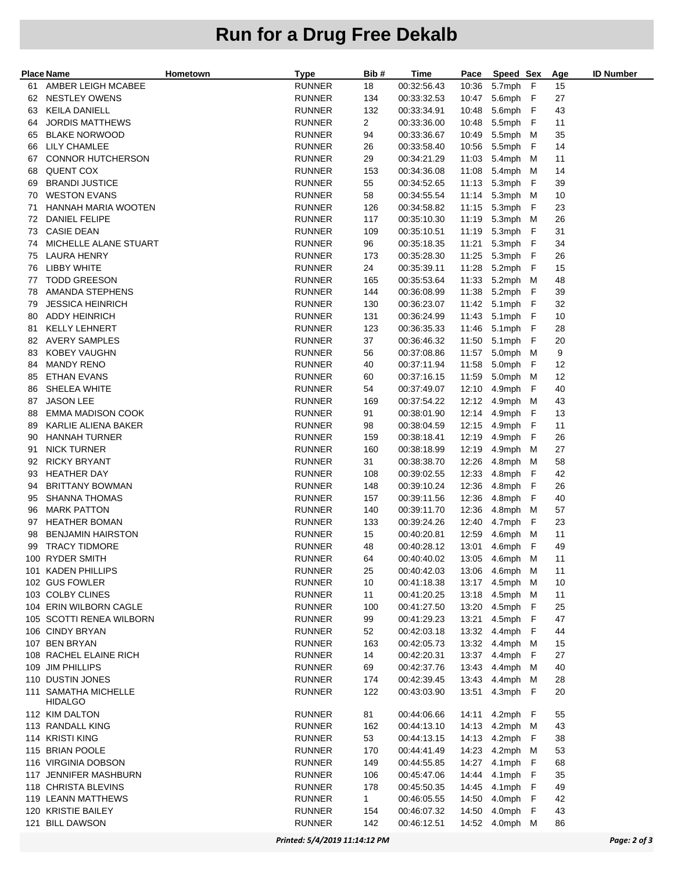## **Run for a Drug Free Dekalb**

| AMBER LEIGH MCABEE<br><b>RUNNER</b><br>18<br>00:32:56.43<br>5.7mph<br>F<br>15<br>10:36<br>61<br><b>NESTLEY OWENS</b><br><b>RUNNER</b><br>134<br>00:33:32.53<br>10:47<br>5.6mph<br>F<br>27<br>62<br><b>RUNNER</b><br>132<br>10:48<br>5.6mph<br>F<br>43<br>KEILA DANIELL<br>00:33:34.91<br>63<br>$\overline{2}$<br>5.5mph<br><b>JORDIS MATTHEWS</b><br><b>RUNNER</b><br>00:33:36.00<br>10:48<br>F<br>11<br>64<br><b>BLAKE NORWOOD</b><br>5.5mph M<br>35<br><b>RUNNER</b><br>94<br>00:33:36.67<br>10:49<br>65<br>10:56<br>5.5mph<br>14<br>LILY CHAMLEE<br><b>RUNNER</b><br>26<br>F<br>66<br>00:33:58.40<br>CONNOR HUTCHERSON<br><b>RUNNER</b><br>29<br>00:34:21.29<br>11:03<br>5.4mph<br>M<br>11<br>67<br><b>QUENT COX</b><br>11:08<br>5.4mph M<br><b>RUNNER</b><br>153<br>00:34:36.08<br>14<br>68<br>11:13<br>5.3mph<br>F<br>39<br><b>BRANDI JUSTICE</b><br><b>RUNNER</b><br>55<br>69<br>00:34:52.65<br><b>WESTON EVANS</b><br><b>RUNNER</b><br>58<br>00:34:55.54<br>11:14<br>5.3mph M<br>10<br>70<br>HANNAH MARIA WOOTEN<br>5.3mph<br>23<br><b>RUNNER</b><br>126<br>00:34:58.82<br>11:15<br>F<br>71<br>11:19<br>5.3mph M<br>26<br>DANIEL FELIPE<br><b>RUNNER</b><br>117<br>00:35:10.30<br>72<br><b>CASIE DEAN</b><br>5.3mph<br><b>RUNNER</b><br>109<br>00:35:10.51<br>11:19<br>F<br>31<br>73<br>MICHELLE ALANE STUART<br><b>RUNNER</b><br>96<br>11:21<br>5.3mph<br>F<br>34<br>00:35:18.35<br>74<br>11:25 5.3mph<br>F<br>26<br>LAURA HENRY<br><b>RUNNER</b><br>173<br>00:35:28.30<br>75<br>5.2mph<br>LIBBY WHITE<br><b>RUNNER</b><br>24<br>00:35:39.11<br>11:28<br>F<br>15<br>76<br><b>TODD GREESON</b><br>11:33<br>5.2mph M<br><b>RUNNER</b><br>165<br>00:35:53.64<br>48<br>77<br>11:38<br>5.2mph<br>39<br>AMANDA STEPHENS<br><b>RUNNER</b><br>144<br>F<br>78<br>00:36:08.99<br>5.1mph<br>32<br><b>JESSICA HEINRICH</b><br><b>RUNNER</b><br>130<br>00:36:23.07<br>11:42<br>F<br>79<br><b>ADDY HEINRICH</b><br>11:43<br>5.1mph<br>F<br>10<br><b>RUNNER</b><br>131<br>00:36:24.99<br>80<br>123<br>11:46<br>5.1mph<br>F<br>28<br><b>KELLY LEHNERT</b><br><b>RUNNER</b><br>81<br>00:36:35.33<br>37<br>5.1mph<br>AVERY SAMPLES<br><b>RUNNER</b><br>00:36:46.32<br>11:50<br>F<br>20<br>82<br>KOBEY VAUGHN<br>5.0mph M<br>9<br><b>RUNNER</b><br>56<br>00:37:08.86<br>11:57<br>83<br>11:58<br>5.0mph<br><b>MANDY RENO</b><br><b>RUNNER</b><br>40<br>00:37:11.94<br>F<br>12<br>84<br>5.0mph<br>ETHAN EVANS<br><b>RUNNER</b><br>60<br>00:37:16.15<br>11:59<br>M<br>12<br>85<br>SHELEA WHITE<br><b>RUNNER</b><br>12:10<br>4.9mph<br>F<br>40<br>54<br>00:37:49.07<br>86<br>12:12 4.9mph M<br><b>JASON LEE</b><br><b>RUNNER</b><br>169<br>00:37:54.22<br>43<br>87<br><b>EMMA MADISON COOK</b><br><b>RUNNER</b><br>91<br>00:38:01.90<br>12:14 4.9mph<br>F<br>13<br>88<br>KARLIE ALIENA BAKER<br>12:15<br>4.9mph<br><b>RUNNER</b><br>98<br>00:38:04.59<br>F<br>11<br>89<br>12:19<br>26<br><b>HANNAH TURNER</b><br><b>RUNNER</b><br>159<br>4.9mph<br>F<br>90<br>00:38:18.41<br>4.9mph<br><b>NICK TURNER</b><br><b>RUNNER</b><br>160<br>12:19<br>M<br>27<br>91<br>00:38:18.99<br><b>RICKY BRYANT</b><br>12:26<br>4.8mph M<br>58<br>92<br><b>RUNNER</b><br>31<br>00:38:38.70<br>12:33<br>4.8mph<br>F<br>42<br><b>HEATHER DAY</b><br><b>RUNNER</b><br>108<br>93<br>00:39:02.55<br><b>BRITTANY BOWMAN</b><br><b>RUNNER</b><br>148<br>00:39:10.24<br>12:36<br>4.8mph<br>F<br>26<br>94<br>12:36<br>4.8mph<br><b>SHANNA THOMAS</b><br><b>RUNNER</b><br>157<br>00:39:11.56<br>F<br>40<br>95<br>12:36<br>4.8mph M<br>57<br><b>MARK PATTON</b><br><b>RUNNER</b><br>140<br>96<br>00:39:11.70<br>4.7mph<br><b>HEATHER BOMAN</b><br><b>RUNNER</b><br>133<br>00:39:24.26<br>12:40<br>F<br>23<br>97<br><b>BENJAMIN HAIRSTON</b><br><b>RUNNER</b><br>15<br>12:59<br>4.6mph M<br>11<br>00:40:20.81<br>98<br><b>RUNNER</b><br>13:01 4.6mph F<br>49<br><b>TRACY TIDMORE</b><br>48<br>00:40:28.12<br>99<br>100 RYDER SMITH<br><b>RUNNER</b><br>00:40:40.02<br>13:05  4.6mph  M<br>64<br>11<br>101 KADEN PHILLIPS<br><b>RUNNER</b><br>13:06  4.6mph  M<br>11<br>25<br>00:40:42.03<br>102 GUS FOWLER<br><b>RUNNER</b><br>13:17 4.5mph M<br>10<br>10<br>00:41:18.38<br>103 COLBY CLINES<br>13:18  4.5mph  M<br><b>RUNNER</b><br>11<br>00:41:20.25<br>11<br>13:20  4.5mph  F<br>104 ERIN WILBORN CAGLE<br><b>RUNNER</b><br>00:41:27.50<br>25<br>100<br>105 SCOTTI RENEA WILBORN<br><b>RUNNER</b><br>13:21  4.5mph  F<br>47<br>99<br>00:41:29.23<br>13:32  4.4mph  F<br>106 CINDY BRYAN<br><b>RUNNER</b><br>52<br>00:42:03.18<br>44<br>107 BEN BRYAN<br><b>RUNNER</b><br>13:32  4.4mph  M<br>163<br>00:42:05.73<br>15<br>108 RACHEL ELAINE RICH<br>13:37<br>4.4mph F<br>27<br><b>RUNNER</b><br>14<br>00:42:20.31<br>109 JIM PHILLIPS<br>13:43<br>4.4mph M<br><b>RUNNER</b><br>69<br>00:42:37.76<br>40<br>110 DUSTIN JONES<br>13:43<br>4.4mph M<br><b>RUNNER</b><br>174<br>00:42:39.45<br>28<br>111 SAMATHA MICHELLE<br>13:51 4.3mph F<br>20<br><b>RUNNER</b><br>122<br>00:43:03.90<br>HIDALGO<br>112 KIM DALTON<br>14:11  4.2mph  F<br><b>RUNNER</b><br>81<br>00:44:06.66<br>55<br>113 RANDALL KING<br><b>RUNNER</b><br>162<br>14:13  4.2mph  M<br>43<br>00:44:13.10<br>114 KRISTI KING<br>14:13  4.2mph  F<br>38<br><b>RUNNER</b><br>53<br>00:44:13.15<br>115 BRIAN POOLE<br><b>RUNNER</b><br>14:23  4.2mph  M<br>53<br>170<br>00:44:41.49<br>116 VIRGINIA DOBSON<br>14:27  4.1mph  F<br>68<br><b>RUNNER</b><br>149<br>00:44:55.85<br>117 JENNIFER MASHBURN<br>14:44  4.1mph  F<br><b>RUNNER</b><br>106<br>00:45:47.06<br>35<br>118 CHRISTA BLEVINS<br>178<br>14:45<br>4.1mph F<br>49<br><b>RUNNER</b><br>00:45:50.35<br>119 LEANN MATTHEWS<br>14:50  4.0mph  F<br>42<br><b>RUNNER</b><br>1<br>00:46:05.55<br>120 KRISTIE BAILEY<br>14:50  4.0mph  F<br><b>RUNNER</b><br>154<br>00:46:07.32<br>43<br>121 BILL DAWSON<br><b>RUNNER</b><br>142<br>14:52 4.0mph M<br>86<br>00:46:12.51 | Place Name | Hometown | <b>Type</b> | Bib# | Time | Pace | Speed Sex | Age | <b>ID Number</b> |
|--------------------------------------------------------------------------------------------------------------------------------------------------------------------------------------------------------------------------------------------------------------------------------------------------------------------------------------------------------------------------------------------------------------------------------------------------------------------------------------------------------------------------------------------------------------------------------------------------------------------------------------------------------------------------------------------------------------------------------------------------------------------------------------------------------------------------------------------------------------------------------------------------------------------------------------------------------------------------------------------------------------------------------------------------------------------------------------------------------------------------------------------------------------------------------------------------------------------------------------------------------------------------------------------------------------------------------------------------------------------------------------------------------------------------------------------------------------------------------------------------------------------------------------------------------------------------------------------------------------------------------------------------------------------------------------------------------------------------------------------------------------------------------------------------------------------------------------------------------------------------------------------------------------------------------------------------------------------------------------------------------------------------------------------------------------------------------------------------------------------------------------------------------------------------------------------------------------------------------------------------------------------------------------------------------------------------------------------------------------------------------------------------------------------------------------------------------------------------------------------------------------------------------------------------------------------------------------------------------------------------------------------------------------------------------------------------------------------------------------------------------------------------------------------------------------------------------------------------------------------------------------------------------------------------------------------------------------------------------------------------------------------------------------------------------------------------------------------------------------------------------------------------------------------------------------------------------------------------------------------------------------------------------------------------------------------------------------------------------------------------------------------------------------------------------------------------------------------------------------------------------------------------------------------------------------------------------------------------------------------------------------------------------------------------------------------------------------------------------------------------------------------------------------------------------------------------------------------------------------------------------------------------------------------------------------------------------------------------------------------------------------------------------------------------------------------------------------------------------------------------------------------------------------------------------------------------------------------------------------------------------------------------------------------------------------------------------------------------------------------------------------------------------------------------------------------------------------------------------------------------------------------------------------------------------------------------------------------------------------------------------------------------------------------------------------------------------------------------------------------------------------------------------------------------------------------------------------------------------------------------------------------------------------------------------------------------------------------------------------------------------------------------------------------------------------------------------------------------------------------------------------------------------------------------------------------------------------------------------------------------------------------------------------------------------------------------------------------------------------------------------------------------------------------------------------------------------------------------------------------------------------------------------------------------------------------------------------------------------------------------------------------------------------------------------------------------------------------------------------------------------------------------------------------------------------------------------------------|------------|----------|-------------|------|------|------|-----------|-----|------------------|
|                                                                                                                                                                                                                                                                                                                                                                                                                                                                                                                                                                                                                                                                                                                                                                                                                                                                                                                                                                                                                                                                                                                                                                                                                                                                                                                                                                                                                                                                                                                                                                                                                                                                                                                                                                                                                                                                                                                                                                                                                                                                                                                                                                                                                                                                                                                                                                                                                                                                                                                                                                                                                                                                                                                                                                                                                                                                                                                                                                                                                                                                                                                                                                                                                                                                                                                                                                                                                                                                                                                                                                                                                                                                                                                                                                                                                                                                                                                                                                                                                                                                                                                                                                                                                                                                                                                                                                                                                                                                                                                                                                                                                                                                                                                                                                                                                                                                                                                                                                                                                                                                                                                                                                                                                                                                                                                                                                                                                                                                                                                                                                                                                                                                                                                                                                                                                                            |            |          |             |      |      |      |           |     |                  |
|                                                                                                                                                                                                                                                                                                                                                                                                                                                                                                                                                                                                                                                                                                                                                                                                                                                                                                                                                                                                                                                                                                                                                                                                                                                                                                                                                                                                                                                                                                                                                                                                                                                                                                                                                                                                                                                                                                                                                                                                                                                                                                                                                                                                                                                                                                                                                                                                                                                                                                                                                                                                                                                                                                                                                                                                                                                                                                                                                                                                                                                                                                                                                                                                                                                                                                                                                                                                                                                                                                                                                                                                                                                                                                                                                                                                                                                                                                                                                                                                                                                                                                                                                                                                                                                                                                                                                                                                                                                                                                                                                                                                                                                                                                                                                                                                                                                                                                                                                                                                                                                                                                                                                                                                                                                                                                                                                                                                                                                                                                                                                                                                                                                                                                                                                                                                                                            |            |          |             |      |      |      |           |     |                  |
|                                                                                                                                                                                                                                                                                                                                                                                                                                                                                                                                                                                                                                                                                                                                                                                                                                                                                                                                                                                                                                                                                                                                                                                                                                                                                                                                                                                                                                                                                                                                                                                                                                                                                                                                                                                                                                                                                                                                                                                                                                                                                                                                                                                                                                                                                                                                                                                                                                                                                                                                                                                                                                                                                                                                                                                                                                                                                                                                                                                                                                                                                                                                                                                                                                                                                                                                                                                                                                                                                                                                                                                                                                                                                                                                                                                                                                                                                                                                                                                                                                                                                                                                                                                                                                                                                                                                                                                                                                                                                                                                                                                                                                                                                                                                                                                                                                                                                                                                                                                                                                                                                                                                                                                                                                                                                                                                                                                                                                                                                                                                                                                                                                                                                                                                                                                                                                            |            |          |             |      |      |      |           |     |                  |
|                                                                                                                                                                                                                                                                                                                                                                                                                                                                                                                                                                                                                                                                                                                                                                                                                                                                                                                                                                                                                                                                                                                                                                                                                                                                                                                                                                                                                                                                                                                                                                                                                                                                                                                                                                                                                                                                                                                                                                                                                                                                                                                                                                                                                                                                                                                                                                                                                                                                                                                                                                                                                                                                                                                                                                                                                                                                                                                                                                                                                                                                                                                                                                                                                                                                                                                                                                                                                                                                                                                                                                                                                                                                                                                                                                                                                                                                                                                                                                                                                                                                                                                                                                                                                                                                                                                                                                                                                                                                                                                                                                                                                                                                                                                                                                                                                                                                                                                                                                                                                                                                                                                                                                                                                                                                                                                                                                                                                                                                                                                                                                                                                                                                                                                                                                                                                                            |            |          |             |      |      |      |           |     |                  |
|                                                                                                                                                                                                                                                                                                                                                                                                                                                                                                                                                                                                                                                                                                                                                                                                                                                                                                                                                                                                                                                                                                                                                                                                                                                                                                                                                                                                                                                                                                                                                                                                                                                                                                                                                                                                                                                                                                                                                                                                                                                                                                                                                                                                                                                                                                                                                                                                                                                                                                                                                                                                                                                                                                                                                                                                                                                                                                                                                                                                                                                                                                                                                                                                                                                                                                                                                                                                                                                                                                                                                                                                                                                                                                                                                                                                                                                                                                                                                                                                                                                                                                                                                                                                                                                                                                                                                                                                                                                                                                                                                                                                                                                                                                                                                                                                                                                                                                                                                                                                                                                                                                                                                                                                                                                                                                                                                                                                                                                                                                                                                                                                                                                                                                                                                                                                                                            |            |          |             |      |      |      |           |     |                  |
|                                                                                                                                                                                                                                                                                                                                                                                                                                                                                                                                                                                                                                                                                                                                                                                                                                                                                                                                                                                                                                                                                                                                                                                                                                                                                                                                                                                                                                                                                                                                                                                                                                                                                                                                                                                                                                                                                                                                                                                                                                                                                                                                                                                                                                                                                                                                                                                                                                                                                                                                                                                                                                                                                                                                                                                                                                                                                                                                                                                                                                                                                                                                                                                                                                                                                                                                                                                                                                                                                                                                                                                                                                                                                                                                                                                                                                                                                                                                                                                                                                                                                                                                                                                                                                                                                                                                                                                                                                                                                                                                                                                                                                                                                                                                                                                                                                                                                                                                                                                                                                                                                                                                                                                                                                                                                                                                                                                                                                                                                                                                                                                                                                                                                                                                                                                                                                            |            |          |             |      |      |      |           |     |                  |
|                                                                                                                                                                                                                                                                                                                                                                                                                                                                                                                                                                                                                                                                                                                                                                                                                                                                                                                                                                                                                                                                                                                                                                                                                                                                                                                                                                                                                                                                                                                                                                                                                                                                                                                                                                                                                                                                                                                                                                                                                                                                                                                                                                                                                                                                                                                                                                                                                                                                                                                                                                                                                                                                                                                                                                                                                                                                                                                                                                                                                                                                                                                                                                                                                                                                                                                                                                                                                                                                                                                                                                                                                                                                                                                                                                                                                                                                                                                                                                                                                                                                                                                                                                                                                                                                                                                                                                                                                                                                                                                                                                                                                                                                                                                                                                                                                                                                                                                                                                                                                                                                                                                                                                                                                                                                                                                                                                                                                                                                                                                                                                                                                                                                                                                                                                                                                                            |            |          |             |      |      |      |           |     |                  |
|                                                                                                                                                                                                                                                                                                                                                                                                                                                                                                                                                                                                                                                                                                                                                                                                                                                                                                                                                                                                                                                                                                                                                                                                                                                                                                                                                                                                                                                                                                                                                                                                                                                                                                                                                                                                                                                                                                                                                                                                                                                                                                                                                                                                                                                                                                                                                                                                                                                                                                                                                                                                                                                                                                                                                                                                                                                                                                                                                                                                                                                                                                                                                                                                                                                                                                                                                                                                                                                                                                                                                                                                                                                                                                                                                                                                                                                                                                                                                                                                                                                                                                                                                                                                                                                                                                                                                                                                                                                                                                                                                                                                                                                                                                                                                                                                                                                                                                                                                                                                                                                                                                                                                                                                                                                                                                                                                                                                                                                                                                                                                                                                                                                                                                                                                                                                                                            |            |          |             |      |      |      |           |     |                  |
|                                                                                                                                                                                                                                                                                                                                                                                                                                                                                                                                                                                                                                                                                                                                                                                                                                                                                                                                                                                                                                                                                                                                                                                                                                                                                                                                                                                                                                                                                                                                                                                                                                                                                                                                                                                                                                                                                                                                                                                                                                                                                                                                                                                                                                                                                                                                                                                                                                                                                                                                                                                                                                                                                                                                                                                                                                                                                                                                                                                                                                                                                                                                                                                                                                                                                                                                                                                                                                                                                                                                                                                                                                                                                                                                                                                                                                                                                                                                                                                                                                                                                                                                                                                                                                                                                                                                                                                                                                                                                                                                                                                                                                                                                                                                                                                                                                                                                                                                                                                                                                                                                                                                                                                                                                                                                                                                                                                                                                                                                                                                                                                                                                                                                                                                                                                                                                            |            |          |             |      |      |      |           |     |                  |
|                                                                                                                                                                                                                                                                                                                                                                                                                                                                                                                                                                                                                                                                                                                                                                                                                                                                                                                                                                                                                                                                                                                                                                                                                                                                                                                                                                                                                                                                                                                                                                                                                                                                                                                                                                                                                                                                                                                                                                                                                                                                                                                                                                                                                                                                                                                                                                                                                                                                                                                                                                                                                                                                                                                                                                                                                                                                                                                                                                                                                                                                                                                                                                                                                                                                                                                                                                                                                                                                                                                                                                                                                                                                                                                                                                                                                                                                                                                                                                                                                                                                                                                                                                                                                                                                                                                                                                                                                                                                                                                                                                                                                                                                                                                                                                                                                                                                                                                                                                                                                                                                                                                                                                                                                                                                                                                                                                                                                                                                                                                                                                                                                                                                                                                                                                                                                                            |            |          |             |      |      |      |           |     |                  |
|                                                                                                                                                                                                                                                                                                                                                                                                                                                                                                                                                                                                                                                                                                                                                                                                                                                                                                                                                                                                                                                                                                                                                                                                                                                                                                                                                                                                                                                                                                                                                                                                                                                                                                                                                                                                                                                                                                                                                                                                                                                                                                                                                                                                                                                                                                                                                                                                                                                                                                                                                                                                                                                                                                                                                                                                                                                                                                                                                                                                                                                                                                                                                                                                                                                                                                                                                                                                                                                                                                                                                                                                                                                                                                                                                                                                                                                                                                                                                                                                                                                                                                                                                                                                                                                                                                                                                                                                                                                                                                                                                                                                                                                                                                                                                                                                                                                                                                                                                                                                                                                                                                                                                                                                                                                                                                                                                                                                                                                                                                                                                                                                                                                                                                                                                                                                                                            |            |          |             |      |      |      |           |     |                  |
|                                                                                                                                                                                                                                                                                                                                                                                                                                                                                                                                                                                                                                                                                                                                                                                                                                                                                                                                                                                                                                                                                                                                                                                                                                                                                                                                                                                                                                                                                                                                                                                                                                                                                                                                                                                                                                                                                                                                                                                                                                                                                                                                                                                                                                                                                                                                                                                                                                                                                                                                                                                                                                                                                                                                                                                                                                                                                                                                                                                                                                                                                                                                                                                                                                                                                                                                                                                                                                                                                                                                                                                                                                                                                                                                                                                                                                                                                                                                                                                                                                                                                                                                                                                                                                                                                                                                                                                                                                                                                                                                                                                                                                                                                                                                                                                                                                                                                                                                                                                                                                                                                                                                                                                                                                                                                                                                                                                                                                                                                                                                                                                                                                                                                                                                                                                                                                            |            |          |             |      |      |      |           |     |                  |
|                                                                                                                                                                                                                                                                                                                                                                                                                                                                                                                                                                                                                                                                                                                                                                                                                                                                                                                                                                                                                                                                                                                                                                                                                                                                                                                                                                                                                                                                                                                                                                                                                                                                                                                                                                                                                                                                                                                                                                                                                                                                                                                                                                                                                                                                                                                                                                                                                                                                                                                                                                                                                                                                                                                                                                                                                                                                                                                                                                                                                                                                                                                                                                                                                                                                                                                                                                                                                                                                                                                                                                                                                                                                                                                                                                                                                                                                                                                                                                                                                                                                                                                                                                                                                                                                                                                                                                                                                                                                                                                                                                                                                                                                                                                                                                                                                                                                                                                                                                                                                                                                                                                                                                                                                                                                                                                                                                                                                                                                                                                                                                                                                                                                                                                                                                                                                                            |            |          |             |      |      |      |           |     |                  |
|                                                                                                                                                                                                                                                                                                                                                                                                                                                                                                                                                                                                                                                                                                                                                                                                                                                                                                                                                                                                                                                                                                                                                                                                                                                                                                                                                                                                                                                                                                                                                                                                                                                                                                                                                                                                                                                                                                                                                                                                                                                                                                                                                                                                                                                                                                                                                                                                                                                                                                                                                                                                                                                                                                                                                                                                                                                                                                                                                                                                                                                                                                                                                                                                                                                                                                                                                                                                                                                                                                                                                                                                                                                                                                                                                                                                                                                                                                                                                                                                                                                                                                                                                                                                                                                                                                                                                                                                                                                                                                                                                                                                                                                                                                                                                                                                                                                                                                                                                                                                                                                                                                                                                                                                                                                                                                                                                                                                                                                                                                                                                                                                                                                                                                                                                                                                                                            |            |          |             |      |      |      |           |     |                  |
|                                                                                                                                                                                                                                                                                                                                                                                                                                                                                                                                                                                                                                                                                                                                                                                                                                                                                                                                                                                                                                                                                                                                                                                                                                                                                                                                                                                                                                                                                                                                                                                                                                                                                                                                                                                                                                                                                                                                                                                                                                                                                                                                                                                                                                                                                                                                                                                                                                                                                                                                                                                                                                                                                                                                                                                                                                                                                                                                                                                                                                                                                                                                                                                                                                                                                                                                                                                                                                                                                                                                                                                                                                                                                                                                                                                                                                                                                                                                                                                                                                                                                                                                                                                                                                                                                                                                                                                                                                                                                                                                                                                                                                                                                                                                                                                                                                                                                                                                                                                                                                                                                                                                                                                                                                                                                                                                                                                                                                                                                                                                                                                                                                                                                                                                                                                                                                            |            |          |             |      |      |      |           |     |                  |
|                                                                                                                                                                                                                                                                                                                                                                                                                                                                                                                                                                                                                                                                                                                                                                                                                                                                                                                                                                                                                                                                                                                                                                                                                                                                                                                                                                                                                                                                                                                                                                                                                                                                                                                                                                                                                                                                                                                                                                                                                                                                                                                                                                                                                                                                                                                                                                                                                                                                                                                                                                                                                                                                                                                                                                                                                                                                                                                                                                                                                                                                                                                                                                                                                                                                                                                                                                                                                                                                                                                                                                                                                                                                                                                                                                                                                                                                                                                                                                                                                                                                                                                                                                                                                                                                                                                                                                                                                                                                                                                                                                                                                                                                                                                                                                                                                                                                                                                                                                                                                                                                                                                                                                                                                                                                                                                                                                                                                                                                                                                                                                                                                                                                                                                                                                                                                                            |            |          |             |      |      |      |           |     |                  |
|                                                                                                                                                                                                                                                                                                                                                                                                                                                                                                                                                                                                                                                                                                                                                                                                                                                                                                                                                                                                                                                                                                                                                                                                                                                                                                                                                                                                                                                                                                                                                                                                                                                                                                                                                                                                                                                                                                                                                                                                                                                                                                                                                                                                                                                                                                                                                                                                                                                                                                                                                                                                                                                                                                                                                                                                                                                                                                                                                                                                                                                                                                                                                                                                                                                                                                                                                                                                                                                                                                                                                                                                                                                                                                                                                                                                                                                                                                                                                                                                                                                                                                                                                                                                                                                                                                                                                                                                                                                                                                                                                                                                                                                                                                                                                                                                                                                                                                                                                                                                                                                                                                                                                                                                                                                                                                                                                                                                                                                                                                                                                                                                                                                                                                                                                                                                                                            |            |          |             |      |      |      |           |     |                  |
|                                                                                                                                                                                                                                                                                                                                                                                                                                                                                                                                                                                                                                                                                                                                                                                                                                                                                                                                                                                                                                                                                                                                                                                                                                                                                                                                                                                                                                                                                                                                                                                                                                                                                                                                                                                                                                                                                                                                                                                                                                                                                                                                                                                                                                                                                                                                                                                                                                                                                                                                                                                                                                                                                                                                                                                                                                                                                                                                                                                                                                                                                                                                                                                                                                                                                                                                                                                                                                                                                                                                                                                                                                                                                                                                                                                                                                                                                                                                                                                                                                                                                                                                                                                                                                                                                                                                                                                                                                                                                                                                                                                                                                                                                                                                                                                                                                                                                                                                                                                                                                                                                                                                                                                                                                                                                                                                                                                                                                                                                                                                                                                                                                                                                                                                                                                                                                            |            |          |             |      |      |      |           |     |                  |
|                                                                                                                                                                                                                                                                                                                                                                                                                                                                                                                                                                                                                                                                                                                                                                                                                                                                                                                                                                                                                                                                                                                                                                                                                                                                                                                                                                                                                                                                                                                                                                                                                                                                                                                                                                                                                                                                                                                                                                                                                                                                                                                                                                                                                                                                                                                                                                                                                                                                                                                                                                                                                                                                                                                                                                                                                                                                                                                                                                                                                                                                                                                                                                                                                                                                                                                                                                                                                                                                                                                                                                                                                                                                                                                                                                                                                                                                                                                                                                                                                                                                                                                                                                                                                                                                                                                                                                                                                                                                                                                                                                                                                                                                                                                                                                                                                                                                                                                                                                                                                                                                                                                                                                                                                                                                                                                                                                                                                                                                                                                                                                                                                                                                                                                                                                                                                                            |            |          |             |      |      |      |           |     |                  |
|                                                                                                                                                                                                                                                                                                                                                                                                                                                                                                                                                                                                                                                                                                                                                                                                                                                                                                                                                                                                                                                                                                                                                                                                                                                                                                                                                                                                                                                                                                                                                                                                                                                                                                                                                                                                                                                                                                                                                                                                                                                                                                                                                                                                                                                                                                                                                                                                                                                                                                                                                                                                                                                                                                                                                                                                                                                                                                                                                                                                                                                                                                                                                                                                                                                                                                                                                                                                                                                                                                                                                                                                                                                                                                                                                                                                                                                                                                                                                                                                                                                                                                                                                                                                                                                                                                                                                                                                                                                                                                                                                                                                                                                                                                                                                                                                                                                                                                                                                                                                                                                                                                                                                                                                                                                                                                                                                                                                                                                                                                                                                                                                                                                                                                                                                                                                                                            |            |          |             |      |      |      |           |     |                  |
|                                                                                                                                                                                                                                                                                                                                                                                                                                                                                                                                                                                                                                                                                                                                                                                                                                                                                                                                                                                                                                                                                                                                                                                                                                                                                                                                                                                                                                                                                                                                                                                                                                                                                                                                                                                                                                                                                                                                                                                                                                                                                                                                                                                                                                                                                                                                                                                                                                                                                                                                                                                                                                                                                                                                                                                                                                                                                                                                                                                                                                                                                                                                                                                                                                                                                                                                                                                                                                                                                                                                                                                                                                                                                                                                                                                                                                                                                                                                                                                                                                                                                                                                                                                                                                                                                                                                                                                                                                                                                                                                                                                                                                                                                                                                                                                                                                                                                                                                                                                                                                                                                                                                                                                                                                                                                                                                                                                                                                                                                                                                                                                                                                                                                                                                                                                                                                            |            |          |             |      |      |      |           |     |                  |
|                                                                                                                                                                                                                                                                                                                                                                                                                                                                                                                                                                                                                                                                                                                                                                                                                                                                                                                                                                                                                                                                                                                                                                                                                                                                                                                                                                                                                                                                                                                                                                                                                                                                                                                                                                                                                                                                                                                                                                                                                                                                                                                                                                                                                                                                                                                                                                                                                                                                                                                                                                                                                                                                                                                                                                                                                                                                                                                                                                                                                                                                                                                                                                                                                                                                                                                                                                                                                                                                                                                                                                                                                                                                                                                                                                                                                                                                                                                                                                                                                                                                                                                                                                                                                                                                                                                                                                                                                                                                                                                                                                                                                                                                                                                                                                                                                                                                                                                                                                                                                                                                                                                                                                                                                                                                                                                                                                                                                                                                                                                                                                                                                                                                                                                                                                                                                                            |            |          |             |      |      |      |           |     |                  |
|                                                                                                                                                                                                                                                                                                                                                                                                                                                                                                                                                                                                                                                                                                                                                                                                                                                                                                                                                                                                                                                                                                                                                                                                                                                                                                                                                                                                                                                                                                                                                                                                                                                                                                                                                                                                                                                                                                                                                                                                                                                                                                                                                                                                                                                                                                                                                                                                                                                                                                                                                                                                                                                                                                                                                                                                                                                                                                                                                                                                                                                                                                                                                                                                                                                                                                                                                                                                                                                                                                                                                                                                                                                                                                                                                                                                                                                                                                                                                                                                                                                                                                                                                                                                                                                                                                                                                                                                                                                                                                                                                                                                                                                                                                                                                                                                                                                                                                                                                                                                                                                                                                                                                                                                                                                                                                                                                                                                                                                                                                                                                                                                                                                                                                                                                                                                                                            |            |          |             |      |      |      |           |     |                  |
|                                                                                                                                                                                                                                                                                                                                                                                                                                                                                                                                                                                                                                                                                                                                                                                                                                                                                                                                                                                                                                                                                                                                                                                                                                                                                                                                                                                                                                                                                                                                                                                                                                                                                                                                                                                                                                                                                                                                                                                                                                                                                                                                                                                                                                                                                                                                                                                                                                                                                                                                                                                                                                                                                                                                                                                                                                                                                                                                                                                                                                                                                                                                                                                                                                                                                                                                                                                                                                                                                                                                                                                                                                                                                                                                                                                                                                                                                                                                                                                                                                                                                                                                                                                                                                                                                                                                                                                                                                                                                                                                                                                                                                                                                                                                                                                                                                                                                                                                                                                                                                                                                                                                                                                                                                                                                                                                                                                                                                                                                                                                                                                                                                                                                                                                                                                                                                            |            |          |             |      |      |      |           |     |                  |
|                                                                                                                                                                                                                                                                                                                                                                                                                                                                                                                                                                                                                                                                                                                                                                                                                                                                                                                                                                                                                                                                                                                                                                                                                                                                                                                                                                                                                                                                                                                                                                                                                                                                                                                                                                                                                                                                                                                                                                                                                                                                                                                                                                                                                                                                                                                                                                                                                                                                                                                                                                                                                                                                                                                                                                                                                                                                                                                                                                                                                                                                                                                                                                                                                                                                                                                                                                                                                                                                                                                                                                                                                                                                                                                                                                                                                                                                                                                                                                                                                                                                                                                                                                                                                                                                                                                                                                                                                                                                                                                                                                                                                                                                                                                                                                                                                                                                                                                                                                                                                                                                                                                                                                                                                                                                                                                                                                                                                                                                                                                                                                                                                                                                                                                                                                                                                                            |            |          |             |      |      |      |           |     |                  |
|                                                                                                                                                                                                                                                                                                                                                                                                                                                                                                                                                                                                                                                                                                                                                                                                                                                                                                                                                                                                                                                                                                                                                                                                                                                                                                                                                                                                                                                                                                                                                                                                                                                                                                                                                                                                                                                                                                                                                                                                                                                                                                                                                                                                                                                                                                                                                                                                                                                                                                                                                                                                                                                                                                                                                                                                                                                                                                                                                                                                                                                                                                                                                                                                                                                                                                                                                                                                                                                                                                                                                                                                                                                                                                                                                                                                                                                                                                                                                                                                                                                                                                                                                                                                                                                                                                                                                                                                                                                                                                                                                                                                                                                                                                                                                                                                                                                                                                                                                                                                                                                                                                                                                                                                                                                                                                                                                                                                                                                                                                                                                                                                                                                                                                                                                                                                                                            |            |          |             |      |      |      |           |     |                  |
|                                                                                                                                                                                                                                                                                                                                                                                                                                                                                                                                                                                                                                                                                                                                                                                                                                                                                                                                                                                                                                                                                                                                                                                                                                                                                                                                                                                                                                                                                                                                                                                                                                                                                                                                                                                                                                                                                                                                                                                                                                                                                                                                                                                                                                                                                                                                                                                                                                                                                                                                                                                                                                                                                                                                                                                                                                                                                                                                                                                                                                                                                                                                                                                                                                                                                                                                                                                                                                                                                                                                                                                                                                                                                                                                                                                                                                                                                                                                                                                                                                                                                                                                                                                                                                                                                                                                                                                                                                                                                                                                                                                                                                                                                                                                                                                                                                                                                                                                                                                                                                                                                                                                                                                                                                                                                                                                                                                                                                                                                                                                                                                                                                                                                                                                                                                                                                            |            |          |             |      |      |      |           |     |                  |
|                                                                                                                                                                                                                                                                                                                                                                                                                                                                                                                                                                                                                                                                                                                                                                                                                                                                                                                                                                                                                                                                                                                                                                                                                                                                                                                                                                                                                                                                                                                                                                                                                                                                                                                                                                                                                                                                                                                                                                                                                                                                                                                                                                                                                                                                                                                                                                                                                                                                                                                                                                                                                                                                                                                                                                                                                                                                                                                                                                                                                                                                                                                                                                                                                                                                                                                                                                                                                                                                                                                                                                                                                                                                                                                                                                                                                                                                                                                                                                                                                                                                                                                                                                                                                                                                                                                                                                                                                                                                                                                                                                                                                                                                                                                                                                                                                                                                                                                                                                                                                                                                                                                                                                                                                                                                                                                                                                                                                                                                                                                                                                                                                                                                                                                                                                                                                                            |            |          |             |      |      |      |           |     |                  |
|                                                                                                                                                                                                                                                                                                                                                                                                                                                                                                                                                                                                                                                                                                                                                                                                                                                                                                                                                                                                                                                                                                                                                                                                                                                                                                                                                                                                                                                                                                                                                                                                                                                                                                                                                                                                                                                                                                                                                                                                                                                                                                                                                                                                                                                                                                                                                                                                                                                                                                                                                                                                                                                                                                                                                                                                                                                                                                                                                                                                                                                                                                                                                                                                                                                                                                                                                                                                                                                                                                                                                                                                                                                                                                                                                                                                                                                                                                                                                                                                                                                                                                                                                                                                                                                                                                                                                                                                                                                                                                                                                                                                                                                                                                                                                                                                                                                                                                                                                                                                                                                                                                                                                                                                                                                                                                                                                                                                                                                                                                                                                                                                                                                                                                                                                                                                                                            |            |          |             |      |      |      |           |     |                  |
|                                                                                                                                                                                                                                                                                                                                                                                                                                                                                                                                                                                                                                                                                                                                                                                                                                                                                                                                                                                                                                                                                                                                                                                                                                                                                                                                                                                                                                                                                                                                                                                                                                                                                                                                                                                                                                                                                                                                                                                                                                                                                                                                                                                                                                                                                                                                                                                                                                                                                                                                                                                                                                                                                                                                                                                                                                                                                                                                                                                                                                                                                                                                                                                                                                                                                                                                                                                                                                                                                                                                                                                                                                                                                                                                                                                                                                                                                                                                                                                                                                                                                                                                                                                                                                                                                                                                                                                                                                                                                                                                                                                                                                                                                                                                                                                                                                                                                                                                                                                                                                                                                                                                                                                                                                                                                                                                                                                                                                                                                                                                                                                                                                                                                                                                                                                                                                            |            |          |             |      |      |      |           |     |                  |
|                                                                                                                                                                                                                                                                                                                                                                                                                                                                                                                                                                                                                                                                                                                                                                                                                                                                                                                                                                                                                                                                                                                                                                                                                                                                                                                                                                                                                                                                                                                                                                                                                                                                                                                                                                                                                                                                                                                                                                                                                                                                                                                                                                                                                                                                                                                                                                                                                                                                                                                                                                                                                                                                                                                                                                                                                                                                                                                                                                                                                                                                                                                                                                                                                                                                                                                                                                                                                                                                                                                                                                                                                                                                                                                                                                                                                                                                                                                                                                                                                                                                                                                                                                                                                                                                                                                                                                                                                                                                                                                                                                                                                                                                                                                                                                                                                                                                                                                                                                                                                                                                                                                                                                                                                                                                                                                                                                                                                                                                                                                                                                                                                                                                                                                                                                                                                                            |            |          |             |      |      |      |           |     |                  |
|                                                                                                                                                                                                                                                                                                                                                                                                                                                                                                                                                                                                                                                                                                                                                                                                                                                                                                                                                                                                                                                                                                                                                                                                                                                                                                                                                                                                                                                                                                                                                                                                                                                                                                                                                                                                                                                                                                                                                                                                                                                                                                                                                                                                                                                                                                                                                                                                                                                                                                                                                                                                                                                                                                                                                                                                                                                                                                                                                                                                                                                                                                                                                                                                                                                                                                                                                                                                                                                                                                                                                                                                                                                                                                                                                                                                                                                                                                                                                                                                                                                                                                                                                                                                                                                                                                                                                                                                                                                                                                                                                                                                                                                                                                                                                                                                                                                                                                                                                                                                                                                                                                                                                                                                                                                                                                                                                                                                                                                                                                                                                                                                                                                                                                                                                                                                                                            |            |          |             |      |      |      |           |     |                  |
|                                                                                                                                                                                                                                                                                                                                                                                                                                                                                                                                                                                                                                                                                                                                                                                                                                                                                                                                                                                                                                                                                                                                                                                                                                                                                                                                                                                                                                                                                                                                                                                                                                                                                                                                                                                                                                                                                                                                                                                                                                                                                                                                                                                                                                                                                                                                                                                                                                                                                                                                                                                                                                                                                                                                                                                                                                                                                                                                                                                                                                                                                                                                                                                                                                                                                                                                                                                                                                                                                                                                                                                                                                                                                                                                                                                                                                                                                                                                                                                                                                                                                                                                                                                                                                                                                                                                                                                                                                                                                                                                                                                                                                                                                                                                                                                                                                                                                                                                                                                                                                                                                                                                                                                                                                                                                                                                                                                                                                                                                                                                                                                                                                                                                                                                                                                                                                            |            |          |             |      |      |      |           |     |                  |
|                                                                                                                                                                                                                                                                                                                                                                                                                                                                                                                                                                                                                                                                                                                                                                                                                                                                                                                                                                                                                                                                                                                                                                                                                                                                                                                                                                                                                                                                                                                                                                                                                                                                                                                                                                                                                                                                                                                                                                                                                                                                                                                                                                                                                                                                                                                                                                                                                                                                                                                                                                                                                                                                                                                                                                                                                                                                                                                                                                                                                                                                                                                                                                                                                                                                                                                                                                                                                                                                                                                                                                                                                                                                                                                                                                                                                                                                                                                                                                                                                                                                                                                                                                                                                                                                                                                                                                                                                                                                                                                                                                                                                                                                                                                                                                                                                                                                                                                                                                                                                                                                                                                                                                                                                                                                                                                                                                                                                                                                                                                                                                                                                                                                                                                                                                                                                                            |            |          |             |      |      |      |           |     |                  |
|                                                                                                                                                                                                                                                                                                                                                                                                                                                                                                                                                                                                                                                                                                                                                                                                                                                                                                                                                                                                                                                                                                                                                                                                                                                                                                                                                                                                                                                                                                                                                                                                                                                                                                                                                                                                                                                                                                                                                                                                                                                                                                                                                                                                                                                                                                                                                                                                                                                                                                                                                                                                                                                                                                                                                                                                                                                                                                                                                                                                                                                                                                                                                                                                                                                                                                                                                                                                                                                                                                                                                                                                                                                                                                                                                                                                                                                                                                                                                                                                                                                                                                                                                                                                                                                                                                                                                                                                                                                                                                                                                                                                                                                                                                                                                                                                                                                                                                                                                                                                                                                                                                                                                                                                                                                                                                                                                                                                                                                                                                                                                                                                                                                                                                                                                                                                                                            |            |          |             |      |      |      |           |     |                  |
|                                                                                                                                                                                                                                                                                                                                                                                                                                                                                                                                                                                                                                                                                                                                                                                                                                                                                                                                                                                                                                                                                                                                                                                                                                                                                                                                                                                                                                                                                                                                                                                                                                                                                                                                                                                                                                                                                                                                                                                                                                                                                                                                                                                                                                                                                                                                                                                                                                                                                                                                                                                                                                                                                                                                                                                                                                                                                                                                                                                                                                                                                                                                                                                                                                                                                                                                                                                                                                                                                                                                                                                                                                                                                                                                                                                                                                                                                                                                                                                                                                                                                                                                                                                                                                                                                                                                                                                                                                                                                                                                                                                                                                                                                                                                                                                                                                                                                                                                                                                                                                                                                                                                                                                                                                                                                                                                                                                                                                                                                                                                                                                                                                                                                                                                                                                                                                            |            |          |             |      |      |      |           |     |                  |
|                                                                                                                                                                                                                                                                                                                                                                                                                                                                                                                                                                                                                                                                                                                                                                                                                                                                                                                                                                                                                                                                                                                                                                                                                                                                                                                                                                                                                                                                                                                                                                                                                                                                                                                                                                                                                                                                                                                                                                                                                                                                                                                                                                                                                                                                                                                                                                                                                                                                                                                                                                                                                                                                                                                                                                                                                                                                                                                                                                                                                                                                                                                                                                                                                                                                                                                                                                                                                                                                                                                                                                                                                                                                                                                                                                                                                                                                                                                                                                                                                                                                                                                                                                                                                                                                                                                                                                                                                                                                                                                                                                                                                                                                                                                                                                                                                                                                                                                                                                                                                                                                                                                                                                                                                                                                                                                                                                                                                                                                                                                                                                                                                                                                                                                                                                                                                                            |            |          |             |      |      |      |           |     |                  |
|                                                                                                                                                                                                                                                                                                                                                                                                                                                                                                                                                                                                                                                                                                                                                                                                                                                                                                                                                                                                                                                                                                                                                                                                                                                                                                                                                                                                                                                                                                                                                                                                                                                                                                                                                                                                                                                                                                                                                                                                                                                                                                                                                                                                                                                                                                                                                                                                                                                                                                                                                                                                                                                                                                                                                                                                                                                                                                                                                                                                                                                                                                                                                                                                                                                                                                                                                                                                                                                                                                                                                                                                                                                                                                                                                                                                                                                                                                                                                                                                                                                                                                                                                                                                                                                                                                                                                                                                                                                                                                                                                                                                                                                                                                                                                                                                                                                                                                                                                                                                                                                                                                                                                                                                                                                                                                                                                                                                                                                                                                                                                                                                                                                                                                                                                                                                                                            |            |          |             |      |      |      |           |     |                  |
|                                                                                                                                                                                                                                                                                                                                                                                                                                                                                                                                                                                                                                                                                                                                                                                                                                                                                                                                                                                                                                                                                                                                                                                                                                                                                                                                                                                                                                                                                                                                                                                                                                                                                                                                                                                                                                                                                                                                                                                                                                                                                                                                                                                                                                                                                                                                                                                                                                                                                                                                                                                                                                                                                                                                                                                                                                                                                                                                                                                                                                                                                                                                                                                                                                                                                                                                                                                                                                                                                                                                                                                                                                                                                                                                                                                                                                                                                                                                                                                                                                                                                                                                                                                                                                                                                                                                                                                                                                                                                                                                                                                                                                                                                                                                                                                                                                                                                                                                                                                                                                                                                                                                                                                                                                                                                                                                                                                                                                                                                                                                                                                                                                                                                                                                                                                                                                            |            |          |             |      |      |      |           |     |                  |
|                                                                                                                                                                                                                                                                                                                                                                                                                                                                                                                                                                                                                                                                                                                                                                                                                                                                                                                                                                                                                                                                                                                                                                                                                                                                                                                                                                                                                                                                                                                                                                                                                                                                                                                                                                                                                                                                                                                                                                                                                                                                                                                                                                                                                                                                                                                                                                                                                                                                                                                                                                                                                                                                                                                                                                                                                                                                                                                                                                                                                                                                                                                                                                                                                                                                                                                                                                                                                                                                                                                                                                                                                                                                                                                                                                                                                                                                                                                                                                                                                                                                                                                                                                                                                                                                                                                                                                                                                                                                                                                                                                                                                                                                                                                                                                                                                                                                                                                                                                                                                                                                                                                                                                                                                                                                                                                                                                                                                                                                                                                                                                                                                                                                                                                                                                                                                                            |            |          |             |      |      |      |           |     |                  |
|                                                                                                                                                                                                                                                                                                                                                                                                                                                                                                                                                                                                                                                                                                                                                                                                                                                                                                                                                                                                                                                                                                                                                                                                                                                                                                                                                                                                                                                                                                                                                                                                                                                                                                                                                                                                                                                                                                                                                                                                                                                                                                                                                                                                                                                                                                                                                                                                                                                                                                                                                                                                                                                                                                                                                                                                                                                                                                                                                                                                                                                                                                                                                                                                                                                                                                                                                                                                                                                                                                                                                                                                                                                                                                                                                                                                                                                                                                                                                                                                                                                                                                                                                                                                                                                                                                                                                                                                                                                                                                                                                                                                                                                                                                                                                                                                                                                                                                                                                                                                                                                                                                                                                                                                                                                                                                                                                                                                                                                                                                                                                                                                                                                                                                                                                                                                                                            |            |          |             |      |      |      |           |     |                  |
|                                                                                                                                                                                                                                                                                                                                                                                                                                                                                                                                                                                                                                                                                                                                                                                                                                                                                                                                                                                                                                                                                                                                                                                                                                                                                                                                                                                                                                                                                                                                                                                                                                                                                                                                                                                                                                                                                                                                                                                                                                                                                                                                                                                                                                                                                                                                                                                                                                                                                                                                                                                                                                                                                                                                                                                                                                                                                                                                                                                                                                                                                                                                                                                                                                                                                                                                                                                                                                                                                                                                                                                                                                                                                                                                                                                                                                                                                                                                                                                                                                                                                                                                                                                                                                                                                                                                                                                                                                                                                                                                                                                                                                                                                                                                                                                                                                                                                                                                                                                                                                                                                                                                                                                                                                                                                                                                                                                                                                                                                                                                                                                                                                                                                                                                                                                                                                            |            |          |             |      |      |      |           |     |                  |
|                                                                                                                                                                                                                                                                                                                                                                                                                                                                                                                                                                                                                                                                                                                                                                                                                                                                                                                                                                                                                                                                                                                                                                                                                                                                                                                                                                                                                                                                                                                                                                                                                                                                                                                                                                                                                                                                                                                                                                                                                                                                                                                                                                                                                                                                                                                                                                                                                                                                                                                                                                                                                                                                                                                                                                                                                                                                                                                                                                                                                                                                                                                                                                                                                                                                                                                                                                                                                                                                                                                                                                                                                                                                                                                                                                                                                                                                                                                                                                                                                                                                                                                                                                                                                                                                                                                                                                                                                                                                                                                                                                                                                                                                                                                                                                                                                                                                                                                                                                                                                                                                                                                                                                                                                                                                                                                                                                                                                                                                                                                                                                                                                                                                                                                                                                                                                                            |            |          |             |      |      |      |           |     |                  |
|                                                                                                                                                                                                                                                                                                                                                                                                                                                                                                                                                                                                                                                                                                                                                                                                                                                                                                                                                                                                                                                                                                                                                                                                                                                                                                                                                                                                                                                                                                                                                                                                                                                                                                                                                                                                                                                                                                                                                                                                                                                                                                                                                                                                                                                                                                                                                                                                                                                                                                                                                                                                                                                                                                                                                                                                                                                                                                                                                                                                                                                                                                                                                                                                                                                                                                                                                                                                                                                                                                                                                                                                                                                                                                                                                                                                                                                                                                                                                                                                                                                                                                                                                                                                                                                                                                                                                                                                                                                                                                                                                                                                                                                                                                                                                                                                                                                                                                                                                                                                                                                                                                                                                                                                                                                                                                                                                                                                                                                                                                                                                                                                                                                                                                                                                                                                                                            |            |          |             |      |      |      |           |     |                  |
|                                                                                                                                                                                                                                                                                                                                                                                                                                                                                                                                                                                                                                                                                                                                                                                                                                                                                                                                                                                                                                                                                                                                                                                                                                                                                                                                                                                                                                                                                                                                                                                                                                                                                                                                                                                                                                                                                                                                                                                                                                                                                                                                                                                                                                                                                                                                                                                                                                                                                                                                                                                                                                                                                                                                                                                                                                                                                                                                                                                                                                                                                                                                                                                                                                                                                                                                                                                                                                                                                                                                                                                                                                                                                                                                                                                                                                                                                                                                                                                                                                                                                                                                                                                                                                                                                                                                                                                                                                                                                                                                                                                                                                                                                                                                                                                                                                                                                                                                                                                                                                                                                                                                                                                                                                                                                                                                                                                                                                                                                                                                                                                                                                                                                                                                                                                                                                            |            |          |             |      |      |      |           |     |                  |
|                                                                                                                                                                                                                                                                                                                                                                                                                                                                                                                                                                                                                                                                                                                                                                                                                                                                                                                                                                                                                                                                                                                                                                                                                                                                                                                                                                                                                                                                                                                                                                                                                                                                                                                                                                                                                                                                                                                                                                                                                                                                                                                                                                                                                                                                                                                                                                                                                                                                                                                                                                                                                                                                                                                                                                                                                                                                                                                                                                                                                                                                                                                                                                                                                                                                                                                                                                                                                                                                                                                                                                                                                                                                                                                                                                                                                                                                                                                                                                                                                                                                                                                                                                                                                                                                                                                                                                                                                                                                                                                                                                                                                                                                                                                                                                                                                                                                                                                                                                                                                                                                                                                                                                                                                                                                                                                                                                                                                                                                                                                                                                                                                                                                                                                                                                                                                                            |            |          |             |      |      |      |           |     |                  |
|                                                                                                                                                                                                                                                                                                                                                                                                                                                                                                                                                                                                                                                                                                                                                                                                                                                                                                                                                                                                                                                                                                                                                                                                                                                                                                                                                                                                                                                                                                                                                                                                                                                                                                                                                                                                                                                                                                                                                                                                                                                                                                                                                                                                                                                                                                                                                                                                                                                                                                                                                                                                                                                                                                                                                                                                                                                                                                                                                                                                                                                                                                                                                                                                                                                                                                                                                                                                                                                                                                                                                                                                                                                                                                                                                                                                                                                                                                                                                                                                                                                                                                                                                                                                                                                                                                                                                                                                                                                                                                                                                                                                                                                                                                                                                                                                                                                                                                                                                                                                                                                                                                                                                                                                                                                                                                                                                                                                                                                                                                                                                                                                                                                                                                                                                                                                                                            |            |          |             |      |      |      |           |     |                  |
|                                                                                                                                                                                                                                                                                                                                                                                                                                                                                                                                                                                                                                                                                                                                                                                                                                                                                                                                                                                                                                                                                                                                                                                                                                                                                                                                                                                                                                                                                                                                                                                                                                                                                                                                                                                                                                                                                                                                                                                                                                                                                                                                                                                                                                                                                                                                                                                                                                                                                                                                                                                                                                                                                                                                                                                                                                                                                                                                                                                                                                                                                                                                                                                                                                                                                                                                                                                                                                                                                                                                                                                                                                                                                                                                                                                                                                                                                                                                                                                                                                                                                                                                                                                                                                                                                                                                                                                                                                                                                                                                                                                                                                                                                                                                                                                                                                                                                                                                                                                                                                                                                                                                                                                                                                                                                                                                                                                                                                                                                                                                                                                                                                                                                                                                                                                                                                            |            |          |             |      |      |      |           |     |                  |
|                                                                                                                                                                                                                                                                                                                                                                                                                                                                                                                                                                                                                                                                                                                                                                                                                                                                                                                                                                                                                                                                                                                                                                                                                                                                                                                                                                                                                                                                                                                                                                                                                                                                                                                                                                                                                                                                                                                                                                                                                                                                                                                                                                                                                                                                                                                                                                                                                                                                                                                                                                                                                                                                                                                                                                                                                                                                                                                                                                                                                                                                                                                                                                                                                                                                                                                                                                                                                                                                                                                                                                                                                                                                                                                                                                                                                                                                                                                                                                                                                                                                                                                                                                                                                                                                                                                                                                                                                                                                                                                                                                                                                                                                                                                                                                                                                                                                                                                                                                                                                                                                                                                                                                                                                                                                                                                                                                                                                                                                                                                                                                                                                                                                                                                                                                                                                                            |            |          |             |      |      |      |           |     |                  |
|                                                                                                                                                                                                                                                                                                                                                                                                                                                                                                                                                                                                                                                                                                                                                                                                                                                                                                                                                                                                                                                                                                                                                                                                                                                                                                                                                                                                                                                                                                                                                                                                                                                                                                                                                                                                                                                                                                                                                                                                                                                                                                                                                                                                                                                                                                                                                                                                                                                                                                                                                                                                                                                                                                                                                                                                                                                                                                                                                                                                                                                                                                                                                                                                                                                                                                                                                                                                                                                                                                                                                                                                                                                                                                                                                                                                                                                                                                                                                                                                                                                                                                                                                                                                                                                                                                                                                                                                                                                                                                                                                                                                                                                                                                                                                                                                                                                                                                                                                                                                                                                                                                                                                                                                                                                                                                                                                                                                                                                                                                                                                                                                                                                                                                                                                                                                                                            |            |          |             |      |      |      |           |     |                  |
|                                                                                                                                                                                                                                                                                                                                                                                                                                                                                                                                                                                                                                                                                                                                                                                                                                                                                                                                                                                                                                                                                                                                                                                                                                                                                                                                                                                                                                                                                                                                                                                                                                                                                                                                                                                                                                                                                                                                                                                                                                                                                                                                                                                                                                                                                                                                                                                                                                                                                                                                                                                                                                                                                                                                                                                                                                                                                                                                                                                                                                                                                                                                                                                                                                                                                                                                                                                                                                                                                                                                                                                                                                                                                                                                                                                                                                                                                                                                                                                                                                                                                                                                                                                                                                                                                                                                                                                                                                                                                                                                                                                                                                                                                                                                                                                                                                                                                                                                                                                                                                                                                                                                                                                                                                                                                                                                                                                                                                                                                                                                                                                                                                                                                                                                                                                                                                            |            |          |             |      |      |      |           |     |                  |
|                                                                                                                                                                                                                                                                                                                                                                                                                                                                                                                                                                                                                                                                                                                                                                                                                                                                                                                                                                                                                                                                                                                                                                                                                                                                                                                                                                                                                                                                                                                                                                                                                                                                                                                                                                                                                                                                                                                                                                                                                                                                                                                                                                                                                                                                                                                                                                                                                                                                                                                                                                                                                                                                                                                                                                                                                                                                                                                                                                                                                                                                                                                                                                                                                                                                                                                                                                                                                                                                                                                                                                                                                                                                                                                                                                                                                                                                                                                                                                                                                                                                                                                                                                                                                                                                                                                                                                                                                                                                                                                                                                                                                                                                                                                                                                                                                                                                                                                                                                                                                                                                                                                                                                                                                                                                                                                                                                                                                                                                                                                                                                                                                                                                                                                                                                                                                                            |            |          |             |      |      |      |           |     |                  |
|                                                                                                                                                                                                                                                                                                                                                                                                                                                                                                                                                                                                                                                                                                                                                                                                                                                                                                                                                                                                                                                                                                                                                                                                                                                                                                                                                                                                                                                                                                                                                                                                                                                                                                                                                                                                                                                                                                                                                                                                                                                                                                                                                                                                                                                                                                                                                                                                                                                                                                                                                                                                                                                                                                                                                                                                                                                                                                                                                                                                                                                                                                                                                                                                                                                                                                                                                                                                                                                                                                                                                                                                                                                                                                                                                                                                                                                                                                                                                                                                                                                                                                                                                                                                                                                                                                                                                                                                                                                                                                                                                                                                                                                                                                                                                                                                                                                                                                                                                                                                                                                                                                                                                                                                                                                                                                                                                                                                                                                                                                                                                                                                                                                                                                                                                                                                                                            |            |          |             |      |      |      |           |     |                  |
|                                                                                                                                                                                                                                                                                                                                                                                                                                                                                                                                                                                                                                                                                                                                                                                                                                                                                                                                                                                                                                                                                                                                                                                                                                                                                                                                                                                                                                                                                                                                                                                                                                                                                                                                                                                                                                                                                                                                                                                                                                                                                                                                                                                                                                                                                                                                                                                                                                                                                                                                                                                                                                                                                                                                                                                                                                                                                                                                                                                                                                                                                                                                                                                                                                                                                                                                                                                                                                                                                                                                                                                                                                                                                                                                                                                                                                                                                                                                                                                                                                                                                                                                                                                                                                                                                                                                                                                                                                                                                                                                                                                                                                                                                                                                                                                                                                                                                                                                                                                                                                                                                                                                                                                                                                                                                                                                                                                                                                                                                                                                                                                                                                                                                                                                                                                                                                            |            |          |             |      |      |      |           |     |                  |
|                                                                                                                                                                                                                                                                                                                                                                                                                                                                                                                                                                                                                                                                                                                                                                                                                                                                                                                                                                                                                                                                                                                                                                                                                                                                                                                                                                                                                                                                                                                                                                                                                                                                                                                                                                                                                                                                                                                                                                                                                                                                                                                                                                                                                                                                                                                                                                                                                                                                                                                                                                                                                                                                                                                                                                                                                                                                                                                                                                                                                                                                                                                                                                                                                                                                                                                                                                                                                                                                                                                                                                                                                                                                                                                                                                                                                                                                                                                                                                                                                                                                                                                                                                                                                                                                                                                                                                                                                                                                                                                                                                                                                                                                                                                                                                                                                                                                                                                                                                                                                                                                                                                                                                                                                                                                                                                                                                                                                                                                                                                                                                                                                                                                                                                                                                                                                                            |            |          |             |      |      |      |           |     |                  |
|                                                                                                                                                                                                                                                                                                                                                                                                                                                                                                                                                                                                                                                                                                                                                                                                                                                                                                                                                                                                                                                                                                                                                                                                                                                                                                                                                                                                                                                                                                                                                                                                                                                                                                                                                                                                                                                                                                                                                                                                                                                                                                                                                                                                                                                                                                                                                                                                                                                                                                                                                                                                                                                                                                                                                                                                                                                                                                                                                                                                                                                                                                                                                                                                                                                                                                                                                                                                                                                                                                                                                                                                                                                                                                                                                                                                                                                                                                                                                                                                                                                                                                                                                                                                                                                                                                                                                                                                                                                                                                                                                                                                                                                                                                                                                                                                                                                                                                                                                                                                                                                                                                                                                                                                                                                                                                                                                                                                                                                                                                                                                                                                                                                                                                                                                                                                                                            |            |          |             |      |      |      |           |     |                  |
|                                                                                                                                                                                                                                                                                                                                                                                                                                                                                                                                                                                                                                                                                                                                                                                                                                                                                                                                                                                                                                                                                                                                                                                                                                                                                                                                                                                                                                                                                                                                                                                                                                                                                                                                                                                                                                                                                                                                                                                                                                                                                                                                                                                                                                                                                                                                                                                                                                                                                                                                                                                                                                                                                                                                                                                                                                                                                                                                                                                                                                                                                                                                                                                                                                                                                                                                                                                                                                                                                                                                                                                                                                                                                                                                                                                                                                                                                                                                                                                                                                                                                                                                                                                                                                                                                                                                                                                                                                                                                                                                                                                                                                                                                                                                                                                                                                                                                                                                                                                                                                                                                                                                                                                                                                                                                                                                                                                                                                                                                                                                                                                                                                                                                                                                                                                                                                            |            |          |             |      |      |      |           |     |                  |
|                                                                                                                                                                                                                                                                                                                                                                                                                                                                                                                                                                                                                                                                                                                                                                                                                                                                                                                                                                                                                                                                                                                                                                                                                                                                                                                                                                                                                                                                                                                                                                                                                                                                                                                                                                                                                                                                                                                                                                                                                                                                                                                                                                                                                                                                                                                                                                                                                                                                                                                                                                                                                                                                                                                                                                                                                                                                                                                                                                                                                                                                                                                                                                                                                                                                                                                                                                                                                                                                                                                                                                                                                                                                                                                                                                                                                                                                                                                                                                                                                                                                                                                                                                                                                                                                                                                                                                                                                                                                                                                                                                                                                                                                                                                                                                                                                                                                                                                                                                                                                                                                                                                                                                                                                                                                                                                                                                                                                                                                                                                                                                                                                                                                                                                                                                                                                                            |            |          |             |      |      |      |           |     |                  |
|                                                                                                                                                                                                                                                                                                                                                                                                                                                                                                                                                                                                                                                                                                                                                                                                                                                                                                                                                                                                                                                                                                                                                                                                                                                                                                                                                                                                                                                                                                                                                                                                                                                                                                                                                                                                                                                                                                                                                                                                                                                                                                                                                                                                                                                                                                                                                                                                                                                                                                                                                                                                                                                                                                                                                                                                                                                                                                                                                                                                                                                                                                                                                                                                                                                                                                                                                                                                                                                                                                                                                                                                                                                                                                                                                                                                                                                                                                                                                                                                                                                                                                                                                                                                                                                                                                                                                                                                                                                                                                                                                                                                                                                                                                                                                                                                                                                                                                                                                                                                                                                                                                                                                                                                                                                                                                                                                                                                                                                                                                                                                                                                                                                                                                                                                                                                                                            |            |          |             |      |      |      |           |     |                  |
|                                                                                                                                                                                                                                                                                                                                                                                                                                                                                                                                                                                                                                                                                                                                                                                                                                                                                                                                                                                                                                                                                                                                                                                                                                                                                                                                                                                                                                                                                                                                                                                                                                                                                                                                                                                                                                                                                                                                                                                                                                                                                                                                                                                                                                                                                                                                                                                                                                                                                                                                                                                                                                                                                                                                                                                                                                                                                                                                                                                                                                                                                                                                                                                                                                                                                                                                                                                                                                                                                                                                                                                                                                                                                                                                                                                                                                                                                                                                                                                                                                                                                                                                                                                                                                                                                                                                                                                                                                                                                                                                                                                                                                                                                                                                                                                                                                                                                                                                                                                                                                                                                                                                                                                                                                                                                                                                                                                                                                                                                                                                                                                                                                                                                                                                                                                                                                            |            |          |             |      |      |      |           |     |                  |
|                                                                                                                                                                                                                                                                                                                                                                                                                                                                                                                                                                                                                                                                                                                                                                                                                                                                                                                                                                                                                                                                                                                                                                                                                                                                                                                                                                                                                                                                                                                                                                                                                                                                                                                                                                                                                                                                                                                                                                                                                                                                                                                                                                                                                                                                                                                                                                                                                                                                                                                                                                                                                                                                                                                                                                                                                                                                                                                                                                                                                                                                                                                                                                                                                                                                                                                                                                                                                                                                                                                                                                                                                                                                                                                                                                                                                                                                                                                                                                                                                                                                                                                                                                                                                                                                                                                                                                                                                                                                                                                                                                                                                                                                                                                                                                                                                                                                                                                                                                                                                                                                                                                                                                                                                                                                                                                                                                                                                                                                                                                                                                                                                                                                                                                                                                                                                                            |            |          |             |      |      |      |           |     |                  |
|                                                                                                                                                                                                                                                                                                                                                                                                                                                                                                                                                                                                                                                                                                                                                                                                                                                                                                                                                                                                                                                                                                                                                                                                                                                                                                                                                                                                                                                                                                                                                                                                                                                                                                                                                                                                                                                                                                                                                                                                                                                                                                                                                                                                                                                                                                                                                                                                                                                                                                                                                                                                                                                                                                                                                                                                                                                                                                                                                                                                                                                                                                                                                                                                                                                                                                                                                                                                                                                                                                                                                                                                                                                                                                                                                                                                                                                                                                                                                                                                                                                                                                                                                                                                                                                                                                                                                                                                                                                                                                                                                                                                                                                                                                                                                                                                                                                                                                                                                                                                                                                                                                                                                                                                                                                                                                                                                                                                                                                                                                                                                                                                                                                                                                                                                                                                                                            |            |          |             |      |      |      |           |     |                  |
|                                                                                                                                                                                                                                                                                                                                                                                                                                                                                                                                                                                                                                                                                                                                                                                                                                                                                                                                                                                                                                                                                                                                                                                                                                                                                                                                                                                                                                                                                                                                                                                                                                                                                                                                                                                                                                                                                                                                                                                                                                                                                                                                                                                                                                                                                                                                                                                                                                                                                                                                                                                                                                                                                                                                                                                                                                                                                                                                                                                                                                                                                                                                                                                                                                                                                                                                                                                                                                                                                                                                                                                                                                                                                                                                                                                                                                                                                                                                                                                                                                                                                                                                                                                                                                                                                                                                                                                                                                                                                                                                                                                                                                                                                                                                                                                                                                                                                                                                                                                                                                                                                                                                                                                                                                                                                                                                                                                                                                                                                                                                                                                                                                                                                                                                                                                                                                            |            |          |             |      |      |      |           |     |                  |